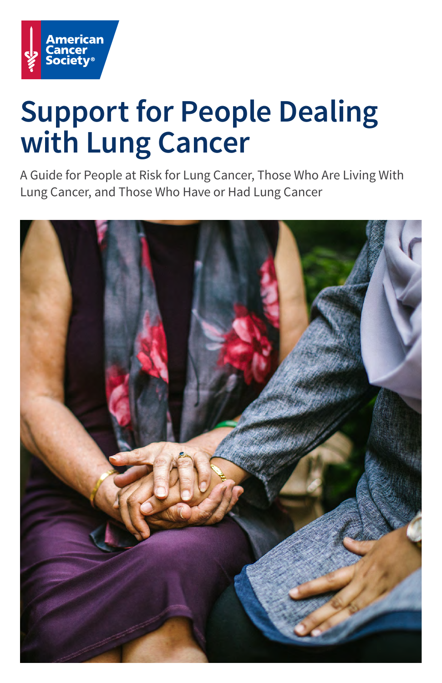

# **Support for People Dealing with Lung Cancer**

A Guide for People at Risk for Lung Cancer, Those Who Are Living With Lung Cancer, and Those Who Have or Had Lung Cancer

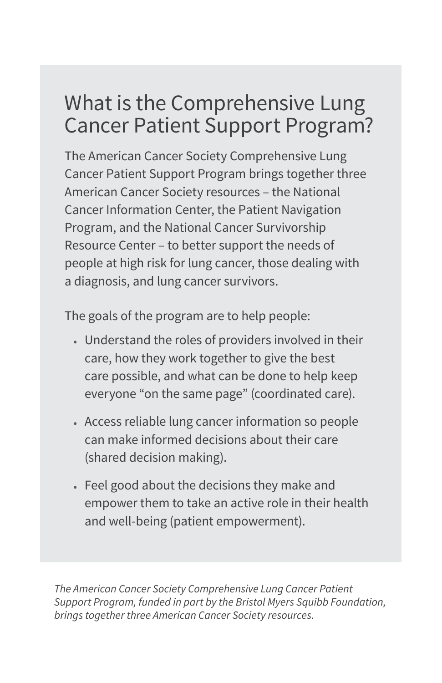### What is the Comprehensive Lung Cancer Patient Support Program?

The American Cancer Society Comprehensive Lung Cancer Patient Support Program brings together three American Cancer Society resources – the National Cancer Information Center, the Patient Navigation Program, and the National Cancer Survivorship Resource Center – to better support the needs of people at high risk for lung cancer, those dealing with a diagnosis, and lung cancer survivors.

The goals of the program are to help people:

- Understand the roles of providers involved in their care, how they work together to give the best care possible, and what can be done to help keep everyone "on the same page" (coordinated care).
- Access reliable lung cancer information so people can make informed decisions about their care (shared decision making).
- Feel good about the decisions they make and empower them to take an active role in their health and well-being (patient empowerment).

*The American Cancer Society Comprehensive Lung Cancer Patient Support Program, funded in part by the Bristol Myers Squibb Foundation, brings together three American Cancer Society resources.*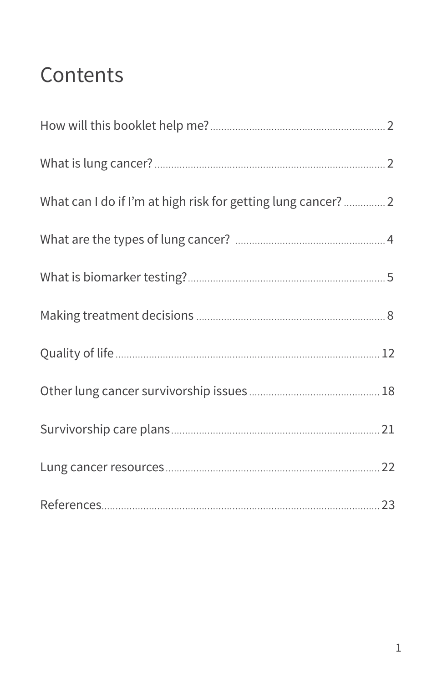## Contents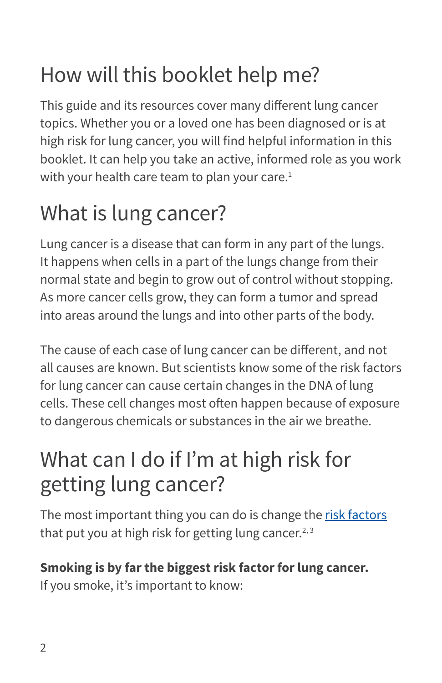## <span id="page-3-0"></span>How will this booklet help me?

This guide and its resources cover many different lung cancer topics. Whether you or a loved one has been diagnosed or is at high risk for lung cancer, you will find helpful information in this booklet. It can help you take an active, informed role as you work with your health care team to plan your care.<sup>1</sup>

## What is lung cancer?

Lung cancer is a disease that can form in any part of the lungs. It happens when cells in a part of the lungs change from their normal state and begin to grow out of control without stopping. As more cancer cells grow, they can form a tumor and spread into areas around the lungs and into other parts of the body.

The cause of each case of lung cancer can be different, and not all causes are known. But scientists know some of the risk factors for lung cancer can cause certain changes in the DNA of lung cells. These cell changes most often happen because of exposure to dangerous chemicals or substances in the air we breathe.

## What can I do if I'm at high risk for getting lung cancer?

The most important thing you can do is change the [risk factors](https://www.cancer.org/cancer/non-small-cell-lung-cancer/causes-risks-prevention/risk-factors.html) that put you at high risk for getting lung cancer.<sup>2, 3</sup>

### **Smoking is by far the biggest risk factor for lung cancer.**

If you smoke, it's important to know: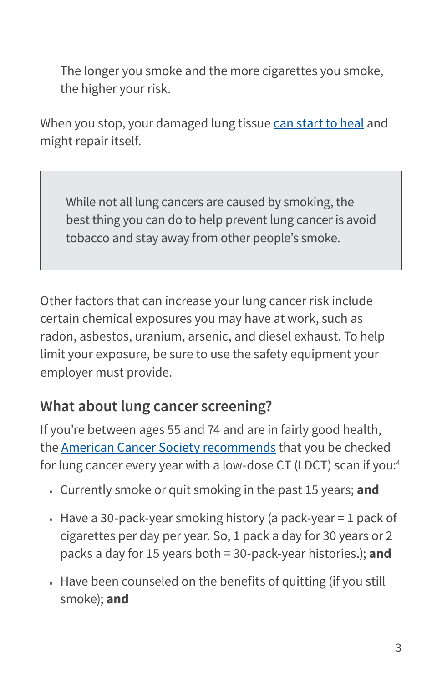The longer you smoke and the more cigarettes you smoke, the higher your risk.

When you stop, your damaged lung tissue [can start to heal](https://www.cancer.org/healthy/stay-away-from-tobacco/benefits-of-quitting-smoking-over-time.html) and might repair itself.

While not all lung cancers are caused by smoking, the best thing you can do to help prevent lung cancer is avoid tobacco and stay away from other people's smoke.

Other factors that can increase your lung cancer risk include certain chemical exposures you may have at work, such as radon, asbestos, uranium, arsenic, and diesel exhaust. To help limit your exposure, be sure to use the safety equipment your employer must provide.

### **What about lung cancer screening?**

If you're between ages 55 and 74 and are in fairly good health, the [American Cancer Society recommends](https://www.cancer.org/cancer/lung-cancer/prevention-and-early-detection/early-detection.html) that you be checked for lung cancer every year with a low-dose CT (LDCT) scan if you:4

- Currently smoke or quit smoking in the past 15 years; **and**
- Have a 30-pack-year smoking history (a pack-year = 1 pack of cigarettes per day per year. So, 1 pack a day for 30 years or 2 packs a day for 15 years both = 30-pack-year histories.); **and**
- Have been counseled on the benefits of quitting (if you still smoke); **and**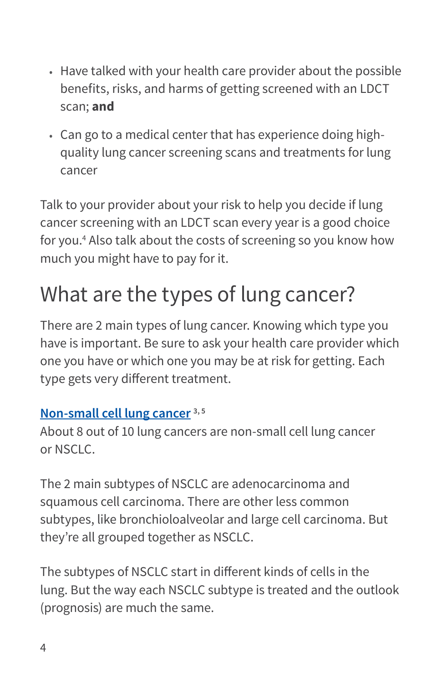- <span id="page-5-0"></span>• Have talked with your health care provider about the possible benefits, risks, and harms of getting screened with an LDCT scan; **and**
- Can go to a medical center that has experience doing highquality lung cancer screening scans and treatments for lung cancer

Talk to your provider about your risk to help you decide if lung cancer screening with an LDCT scan every year is a good choice for you.4 Also talk about the costs of screening so you know how much you might have to pay for it.

## What are the types of lung cancer?

There are 2 main types of lung cancer. Knowing which type you have is important. Be sure to ask your health care provider which one you have or which one you may be at risk for getting. Each type gets very different treatment.

#### **[Non-small cell lung cancer](https://www.cancer.org/cancer/non-small-cell-lung-cancer.html) 3, 5**

About 8 out of 10 lung cancers are non-small cell lung cancer or NSCLC.

The 2 main subtypes of NSCLC are adenocarcinoma and squamous cell carcinoma. There are other less common subtypes, like bronchioloalveolar and large cell carcinoma. But they're all grouped together as NSCLC.

The subtypes of NSCLC start in different kinds of cells in the lung. But the way each NSCLC subtype is treated and the outlook (prognosis) are much the same.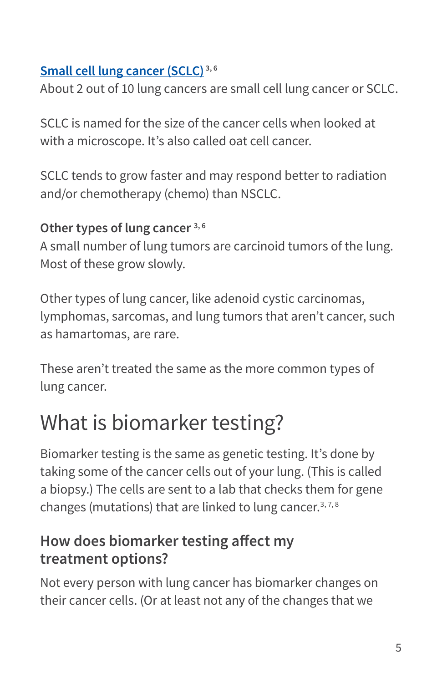#### <span id="page-6-0"></span>**[Small cell lung cancer \(SCLC\)](https://www.cancer.org/cancer/small-cell-lung-cancer.html) 3, 6**

About 2 out of 10 lung cancers are small cell lung cancer or SCLC.

SCLC is named for the size of the cancer cells when looked at with a microscope. It's also called oat cell cancer.

SCLC tends to grow faster and may respond better to radiation and/or chemotherapy (chemo) than NSCLC.

#### **Other types of lung cancer 3, 6**

A small number of lung tumors are carcinoid tumors of the lung. Most of these grow slowly.

Other types of lung cancer, like adenoid cystic carcinomas, lymphomas, sarcomas, and lung tumors that aren't cancer, such as hamartomas, are rare.

These aren't treated the same as the more common types of lung cancer.

## What is biomarker testing?

Biomarker testing is the same as genetic testing. It's done by taking some of the cancer cells out of your lung. (This is called a biopsy.) The cells are sent to a lab that checks them for gene changes (mutations) that are linked to lung cancer.<sup>3,7,8</sup>

### **How does biomarker testing affect my treatment options?**

Not every person with lung cancer has biomarker changes on their cancer cells. (Or at least not any of the changes that we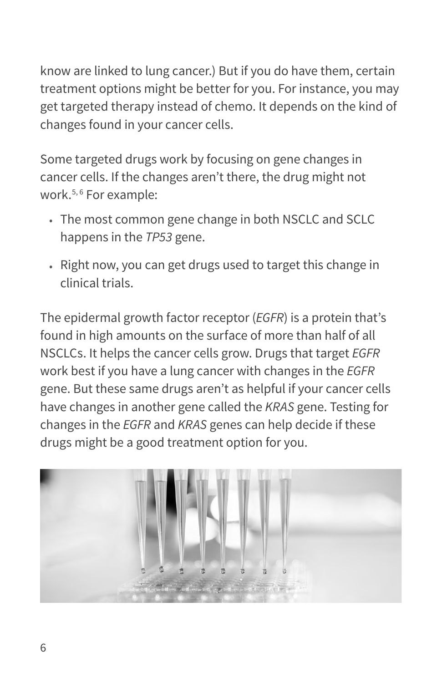know are linked to lung cancer.) But if you do have them, certain treatment options might be better for you. For instance, you may get targeted therapy instead of chemo. It depends on the kind of changes found in your cancer cells.

Some targeted drugs work by focusing on gene changes in cancer cells. If the changes aren't there, the drug might not work.<sup>5, 6</sup> For example:

- The most common gene change in both NSCLC and SCLC happens in the *TP53* gene.
- Right now, you can get drugs used to target this change in clinical trials.

The epidermal growth factor receptor (*EGFR*) is a protein that's found in high amounts on the surface of more than half of all NSCLCs. It helps the cancer cells grow. Drugs that target *EGFR* work best if you have a lung cancer with changes in the *EGFR* gene. But these same drugs aren't as helpful if your cancer cells have changes in another gene called the *KRAS* gene. Testing for changes in the *EGFR* and *KRAS* genes can help decide if these drugs might be a good treatment option for you.

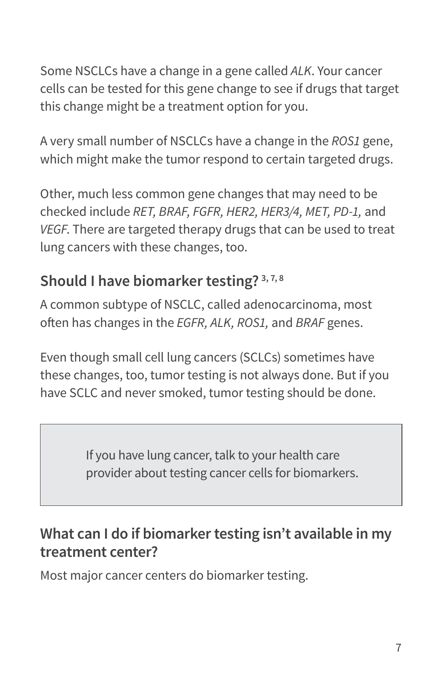Some NSCLCs have a change in a gene called *ALK*. Your cancer cells can be tested for this gene change to see if drugs that target this change might be a treatment option for you.

A very small number of NSCLCs have a change in the *ROS1* gene, which might make the tumor respond to certain targeted drugs.

Other, much less common gene changes that may need to be checked include *RET, BRAF, FGFR, HER2, HER3/4, MET, PD-1,* and *VEGF*. There are targeted therapy drugs that can be used to treat lung cancers with these changes, too.

### **Should I have biomarker testing? 3, 7, 8**

A common subtype of NSCLC, called adenocarcinoma, most often has changes in the *EGFR, ALK, ROS1,* and *BRAF* genes.

Even though small cell lung cancers (SCLCs) sometimes have these changes, too, tumor testing is not always done. But if you have SCLC and never smoked, tumor testing should be done.

> If you have lung cancer, talk to your health care provider about testing cancer cells for biomarkers.

### **What can I do if biomarker testing isn't available in my treatment center?**

Most major cancer centers do biomarker testing.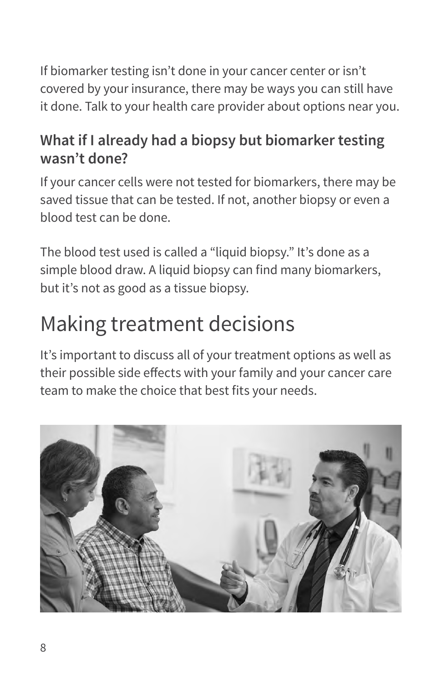<span id="page-9-0"></span>If biomarker testing isn't done in your cancer center or isn't covered by your insurance, there may be ways you can still have it done. Talk to your health care provider about options near you.

### **What if I already had a biopsy but biomarker testing wasn't done?**

If your cancer cells were not tested for biomarkers, there may be saved tissue that can be tested. If not, another biopsy or even a blood test can be done.

The blood test used is called a "liquid biopsy." It's done as a simple blood draw. A liquid biopsy can find many biomarkers, but it's not as good as a tissue biopsy.

## Making treatment decisions

It's important to discuss all of your treatment options as well as their possible side effects with your family and your cancer care team to make the choice that best fits your needs.

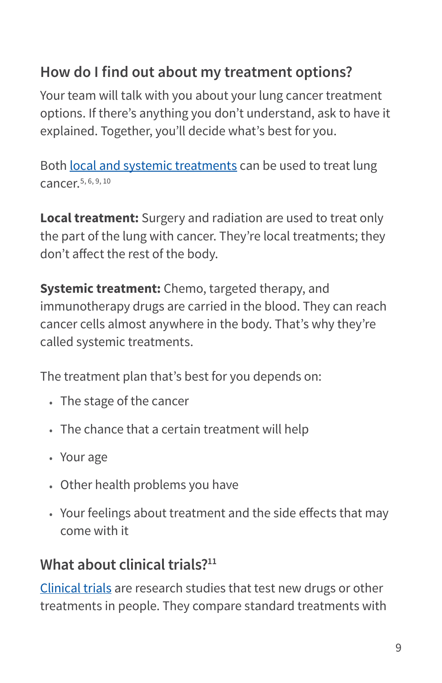### **How do I find out about my treatment options?**

Your team will talk with you about your lung cancer treatment options. If there's anything you don't understand, ask to have it explained. Together, you'll decide what's best for you.

Both [local and systemic treatments](https://www.cancer.org/treatment/treatments-and-side-effects/treatment-types.html) can be used to treat lung cancer.5, 6, 9, 10

**Local treatment:** Surgery and radiation are used to treat only the part of the lung with cancer. They're local treatments; they don't affect the rest of the body.

**Systemic treatment:** Chemo, targeted therapy, and immunotherapy drugs are carried in the blood. They can reach cancer cells almost anywhere in the body. That's why they're called systemic treatments.

The treatment plan that's best for you depends on:

- The stage of the cancer
- The chance that a certain treatment will help
- Your age
- Other health problems you have
- Your feelings about treatment and the side effects that may come with it

### **What about clinical trials?11**

[Clinical trials](https://www.cancer.org/treatment/treatments-and-side-effects/clinical-trials.html) are research studies that test new drugs or other treatments in people. They compare standard treatments with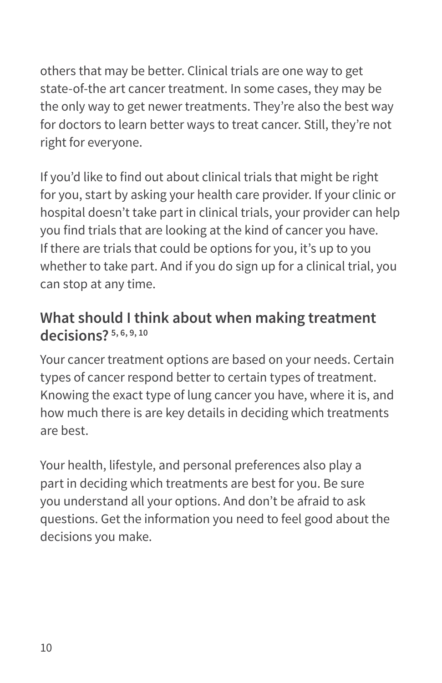others that may be better. Clinical trials are one way to get state-of-the art cancer treatment. In some cases, they may be the only way to get newer treatments. They're also the best way for doctors to learn better ways to treat cancer. Still, they're not right for everyone.

If you'd like to find out about clinical trials that might be right for you, start by asking your health care provider. If your clinic or hospital doesn't take part in clinical trials, your provider can help you find trials that are looking at the kind of cancer you have. If there are trials that could be options for you, it's up to you whether to take part. And if you do sign up for a clinical trial, you can stop at any time.

#### **What should I think about when making treatment decisions? 5, 6, 9, 10**

Your cancer treatment options are based on your needs. Certain types of cancer respond better to certain types of treatment. Knowing the exact type of lung cancer you have, where it is, and how much there is are key details in deciding which treatments are best.

Your health, lifestyle, and personal preferences also play a part in deciding which treatments are best for you. Be sure you understand all your options. And don't be afraid to ask questions. Get the information you need to feel good about the decisions you make.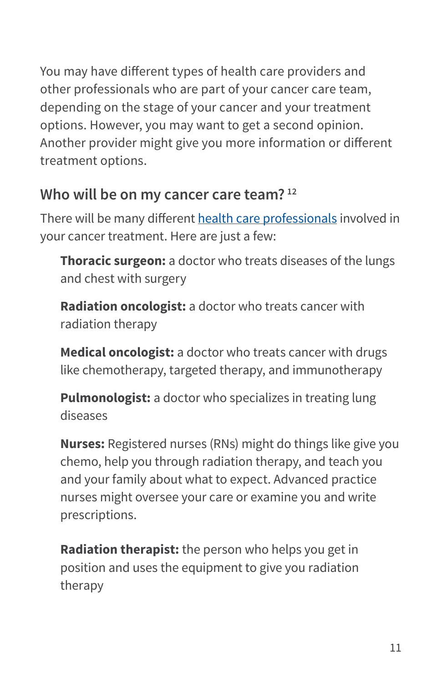<span id="page-12-0"></span>You may have different types of health care providers and other professionals who are part of your cancer care team, depending on the stage of your cancer and your treatment options. However, you may want to get a second opinion. Another provider might give you more information or different treatment options.

### **Who will be on my cancer care team? 12**

There will be many different [health care professionals](https://www.cancer.org/treatment/finding-and-paying-for-treatment/choosing-your-treatment-team/health-professionals-associated-with-cancer-care.html) involved in your cancer treatment. Here are just a few:

**Thoracic surgeon:** a doctor who treats diseases of the lungs and chest with surgery

**Radiation oncologist:** a doctor who treats cancer with radiation therapy

**Medical oncologist:** a doctor who treats cancer with drugs like chemotherapy, targeted therapy, and immunotherapy

**Pulmonologist:** a doctor who specializes in treating lung diseases

**Nurses:** Registered nurses (RNs) might do things like give you chemo, help you through radiation therapy, and teach you and your family about what to expect. Advanced practice nurses might oversee your care or examine you and write prescriptions.

**Radiation therapist:** the person who helps you get in position and uses the equipment to give you radiation therapy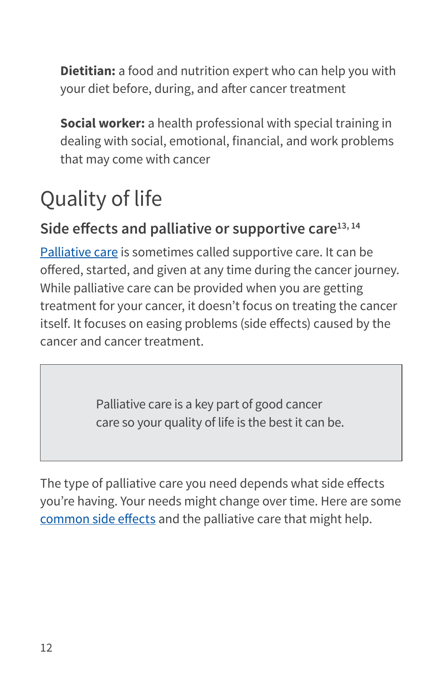**Dietitian:** a food and nutrition expert who can help you with your diet before, during, and after cancer treatment

**Social worker:** a health professional with special training in dealing with social, emotional, financial, and work problems that may come with cancer

## Quality of life

### **Side effects and palliative or supportive care13, 14**

[Palliative care](https://www.cancer.org/treatment/treatments-and-side-effects/palliative-care.html) is sometimes called supportive care. It can be offered, started, and given at any time during the cancer journey. While palliative care can be provided when you are getting treatment for your cancer, it doesn't focus on treating the cancer itself. It focuses on easing problems (side effects) caused by the cancer and cancer treatment.

> Palliative care is a key part of good cancer care so your quality of life is the best it can be.

The type of palliative care you need depends what side effects you're having. Your needs might change over time. Here are some [common side effects](https://www.cancer.org/treatment/treatments-and-side-effects/physical-side-effects.html) and the palliative care that might help.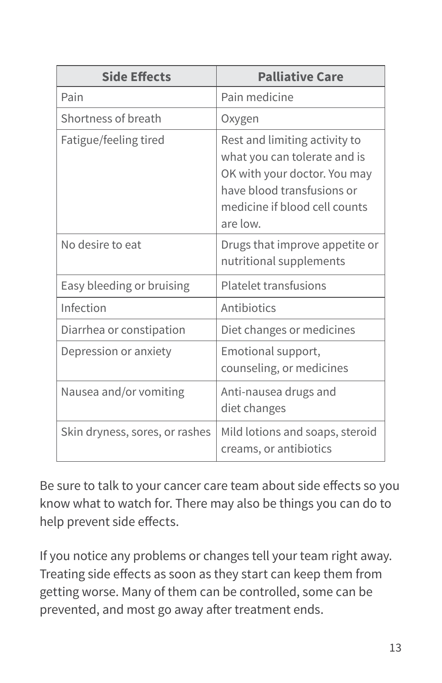| <b>Side Effects</b>            | <b>Palliative Care</b>                                                                                                                                                   |
|--------------------------------|--------------------------------------------------------------------------------------------------------------------------------------------------------------------------|
| Pain                           | Pain medicine                                                                                                                                                            |
| Shortness of breath            | Oxygen                                                                                                                                                                   |
| Fatigue/feeling tired          | Rest and limiting activity to<br>what you can tolerate and is<br>OK with your doctor. You may<br>have blood transfusions or<br>medicine if blood cell counts<br>are low. |
| No desire to eat               | Drugs that improve appetite or<br>nutritional supplements                                                                                                                |
| Easy bleeding or bruising      | <b>Platelet transfusions</b>                                                                                                                                             |
| Infection                      | Antibiotics                                                                                                                                                              |
| Diarrhea or constipation       | Diet changes or medicines                                                                                                                                                |
| Depression or anxiety          | Emotional support,<br>counseling, or medicines                                                                                                                           |
| Nausea and/or vomiting         | Anti-nausea drugs and<br>diet changes                                                                                                                                    |
| Skin dryness, sores, or rashes | Mild lotions and soaps, steroid<br>creams, or antibiotics                                                                                                                |

Be sure to talk to your cancer care team about side effects so you know what to watch for. There may also be things you can do to help prevent side effects.

If you notice any problems or changes tell your team right away. Treating side effects as soon as they start can keep them from getting worse. Many of them can be controlled, some can be prevented, and most go away after treatment ends.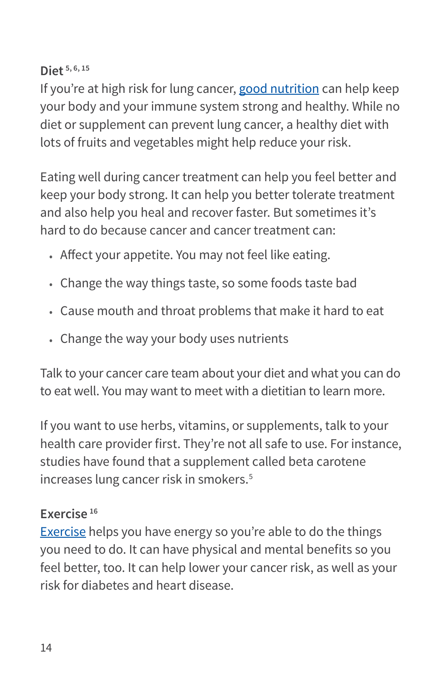#### **Diet 5, 6, 15**

If you're at high risk for lung cancer, [good nutrition](https://www.cancer.org/treatment/survivorship-during-and-after-treatment/staying-active/nutrition.html) can help keep your body and your immune system strong and healthy. While no diet or supplement can prevent lung cancer, a healthy diet with lots of fruits and vegetables might help reduce your risk.

Eating well during cancer treatment can help you feel better and keep your body strong. It can help you better tolerate treatment and also help you heal and recover faster. But sometimes it's hard to do because cancer and cancer treatment can:

- Affect your appetite. You may not feel like eating.
- Change the way things taste, so some foods taste bad
- Cause mouth and throat problems that make it hard to eat
- Change the way your body uses nutrients

Talk to your cancer care team about your diet and what you can do to eat well. You may want to meet with a dietitian to learn more.

If you want to use herbs, vitamins, or supplements, talk to your health care provider first. They're not all safe to use. For instance, studies have found that a supplement called beta carotene increases lung cancer risk in smokers.<sup>5</sup>

#### **Exercise 16**

[Exercise](https://www.cancer.org/treatment/survivorship-during-and-after-treatment/staying-active/physical-activity-and-the-cancer-patient.html) helps you have energy so you're able to do the things you need to do. It can have physical and mental benefits so you feel better, too. It can help lower your cancer risk, as well as your risk for diabetes and heart disease.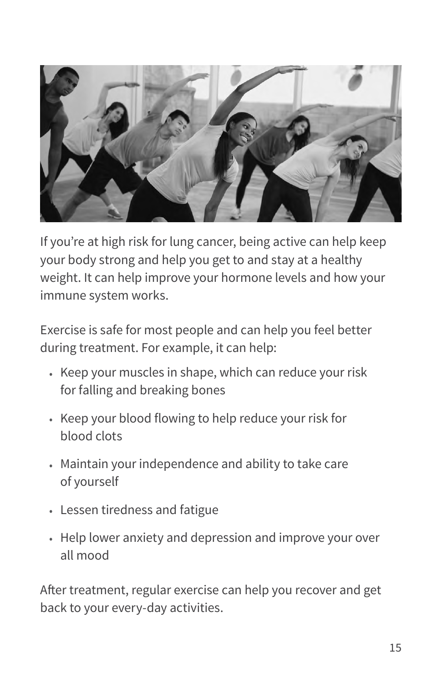

If you're at high risk for lung cancer, being active can help keep your body strong and help you get to and stay at a healthy weight. It can help improve your hormone levels and how your immune system works.

Exercise is safe for most people and can help you feel better during treatment. For example, it can help:

- Keep your muscles in shape, which can reduce your risk for falling and breaking bones
- Keep your blood flowing to help reduce your risk for blood clots
- Maintain your independence and ability to take care of yourself
- Lessen tiredness and fatigue
- Help lower anxiety and depression and improve your over all mood

After treatment, regular exercise can help you recover and get back to your every-day activities.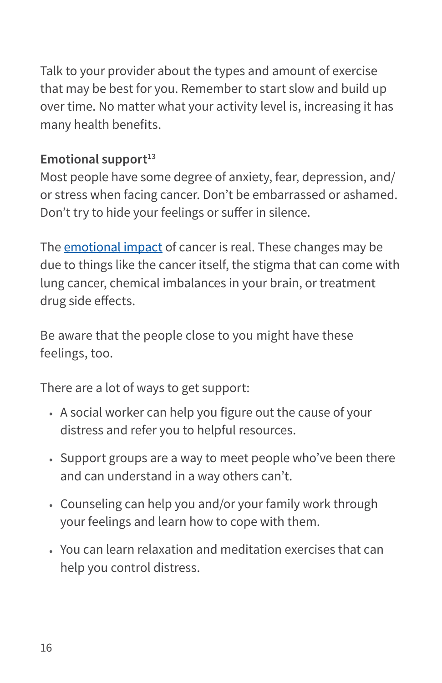Talk to your provider about the types and amount of exercise that may be best for you. Remember to start slow and build up over time. No matter what your activity level is, increasing it has many health benefits.

#### **Emotional support**<sup>13</sup>

Most people have some degree of anxiety, fear, depression, and/ or stress when facing cancer. Don't be embarrassed or ashamed. Don't try to hide your feelings or suffer in silence.

The [emotional impact](https://www.cancer.org/treatment/treatments-and-side-effects/emotional-side-effects.html) of cancer is real. These changes may be due to things like the cancer itself, the stigma that can come with lung cancer, chemical imbalances in your brain, or treatment drug side effects.

Be aware that the people close to you might have these feelings, too.

There are a lot of ways to get support:

- A social worker can help you figure out the cause of your distress and refer you to helpful resources.
- Support groups are a way to meet people who've been there and can understand in a way others can't.
- Counseling can help you and/or your family work through your feelings and learn how to cope with them.
- You can learn relaxation and meditation exercises that can help you control distress.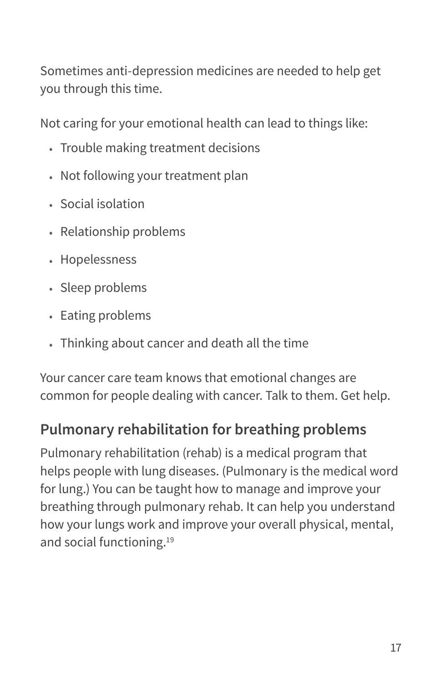<span id="page-18-0"></span>Sometimes anti-depression medicines are needed to help get you through this time.

Not caring for your emotional health can lead to things like:

- Trouble making treatment decisions
- Not following your treatment plan
- Social isolation
- Relationship problems
- Hopelessness
- Sleep problems
- Eating problems
- Thinking about cancer and death all the time

Your cancer care team knows that emotional changes are common for people dealing with cancer. Talk to them. Get help.

### **Pulmonary rehabilitation for breathing problems**

Pulmonary rehabilitation (rehab) is a medical program that helps people with lung diseases. (Pulmonary is the medical word for lung.) You can be taught how to manage and improve your breathing through pulmonary rehab. It can help you understand how your lungs work and improve your overall physical, mental, and social functioning.19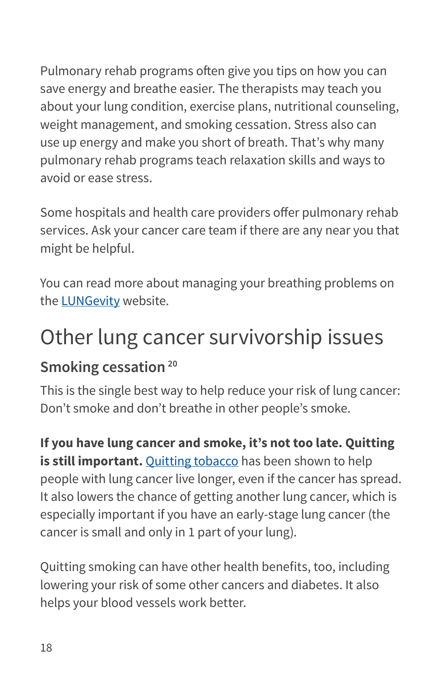Pulmonary rehab programs often give you tips on how you can save energy and breathe easier. The therapists may teach you about your lung condition, exercise plans, nutritional counseling, weight management, and smoking cessation. Stress also can use up energy and make you short of breath. That's why many pulmonary rehab programs teach relaxation skills and ways to avoid or ease stress.

Some hospitals and health care providers offer pulmonary rehab services. Ask your cancer care team if there are any near you that might be helpful.

You can read more about managing your breathing problems on the [LUNGevity](https://lungevity.org/for-patients-caregivers/survivor-resource-center/living-well-with-lung-cancer/managing-your) website.

## Other lung cancer survivorship issues

### **Smoking cessation 20**

This is the single best way to help reduce your risk of lung cancer: Don't smoke and don't breathe in other people's smoke.

**If you have lung cancer and smoke, it's not too late. Quitting is still important.** [Quitting tobacco](https://www.cancer.org/healthy/stay-away-from-tobacco.html) has been shown to help people with lung cancer live longer, even if the cancer has spread. It also lowers the chance of getting another lung cancer, which is especially important if you have an early-stage lung cancer (the cancer is small and only in 1 part of your lung).

Quitting smoking can have other health benefits, too, including lowering your risk of some other cancers and diabetes. It also helps your blood vessels work better.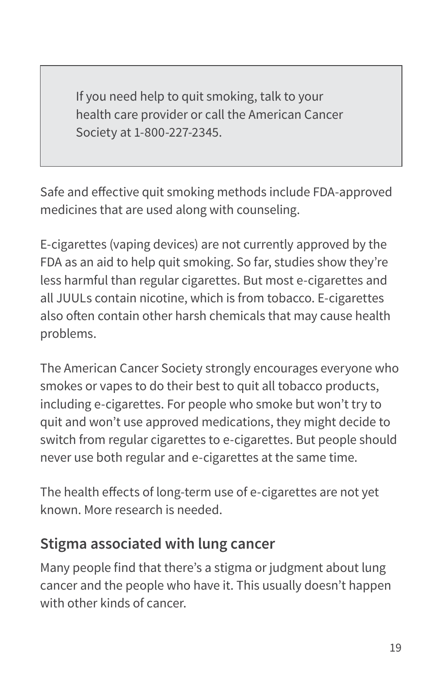If you need help to quit smoking, talk to your health care provider or call the American Cancer Society at 1-800-227-2345.

Safe and effective quit smoking methods include FDA-approved medicines that are used along with counseling.

E-cigarettes (vaping devices) are not currently approved by the FDA as an aid to help quit smoking. So far, studies show they're less harmful than regular cigarettes. But most e-cigarettes and all JUULs contain nicotine, which is from tobacco. E-cigarettes also often contain other harsh chemicals that may cause health problems.

The American Cancer Society strongly encourages everyone who smokes or vapes to do their best to quit all tobacco products, including e-cigarettes. For people who smoke but won't try to quit and won't use approved medications, they might decide to switch from regular cigarettes to e-cigarettes. But people should never use both regular and e-cigarettes at the same time.

The health effects of long-term use of e-cigarettes are not yet known. More research is needed.

### **Stigma associated with lung cancer**

Many people find that there's a stigma or judgment about lung cancer and the people who have it. This usually doesn't happen with other kinds of cancer.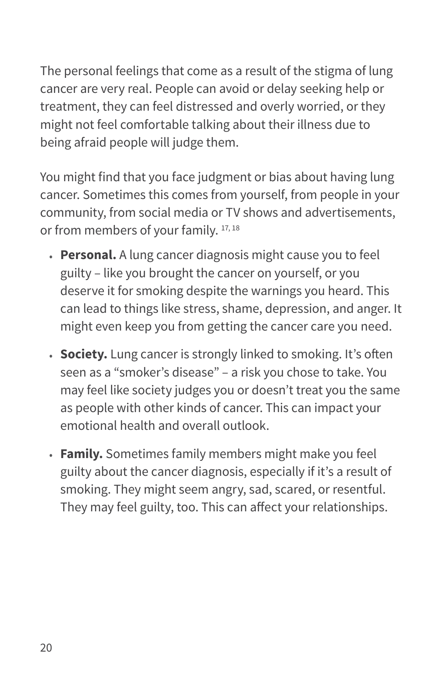<span id="page-21-0"></span>The personal feelings that come as a result of the stigma of lung cancer are very real. People can avoid or delay seeking help or treatment, they can feel distressed and overly worried, or they might not feel comfortable talking about their illness due to being afraid people will judge them.

You might find that you face judgment or bias about having lung cancer. Sometimes this comes from yourself, from people in your community, from social media or TV shows and advertisements, or from members of your family. 17, 18

- **Personal.** A lung cancer diagnosis might cause you to feel guilty – like you brought the cancer on yourself, or you deserve it for smoking despite the warnings you heard. This can lead to things like stress, shame, depression, and anger. It might even keep you from getting the cancer care you need.
- **Society.** Lung cancer is strongly linked to smoking. It's often seen as a "smoker's disease" – a risk you chose to take. You may feel like society judges you or doesn't treat you the same as people with other kinds of cancer. This can impact your emotional health and overall outlook.
- **Family.** Sometimes family members might make you feel guilty about the cancer diagnosis, especially if it's a result of smoking. They might seem angry, sad, scared, or resentful. They may feel guilty, too. This can affect your relationships.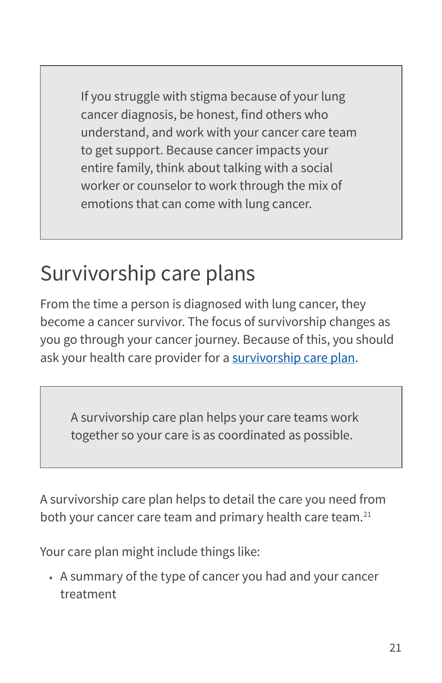<span id="page-22-0"></span>If you struggle with stigma because of your lung cancer diagnosis, be honest, find others who understand, and work with your cancer care team to get support. Because cancer impacts your entire family, think about talking with a social worker or counselor to work through the mix of emotions that can come with lung cancer.

## Survivorship care plans

From the time a person is diagnosed with lung cancer, they become a cancer survivor. The focus of survivorship changes as you go through your cancer journey. Because of this, you should ask your health care provider for a [survivorship care plan](https://www.cancer.org/treatment/survivorship-during-and-after-treatment/survivorship-care-plans.html).

A survivorship care plan helps your care teams work together so your care is as coordinated as possible.

A survivorship care plan helps to detail the care you need from both your cancer care team and primary health care team.<sup>21</sup>

Your care plan might include things like:

• A summary of the type of cancer you had and your cancer treatment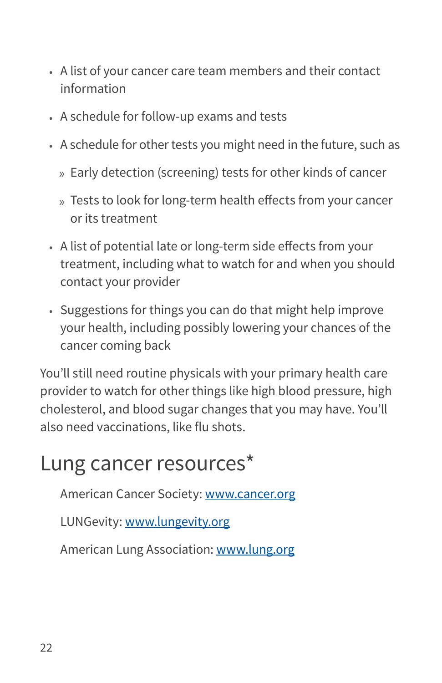- <span id="page-23-0"></span>• A list of your cancer care team members and their contact information
- A schedule for follow-up exams and tests
- A schedule for other tests you might need in the future, such as
	- » Early detection (screening) tests for other kinds of cancer
	- » Tests to look for long-term health effects from your cancer or its treatment
- A list of potential late or long-term side effects from your treatment, including what to watch for and when you should contact your provider
- Suggestions for things you can do that might help improve your health, including possibly lowering your chances of the cancer coming back

You'll still need routine physicals with your primary health care provider to watch for other things like high blood pressure, high cholesterol, and blood sugar changes that you may have. You'll also need vaccinations, like flu shots.

## Lung cancer resources\*

American Cancer Society: [www.cancer.org](http://www.cancer.org)

LUNGevity: [www.lungevity.org](http://www.lungevity.org)

American Lung Association: [www.lung.org](http://www.lung.org)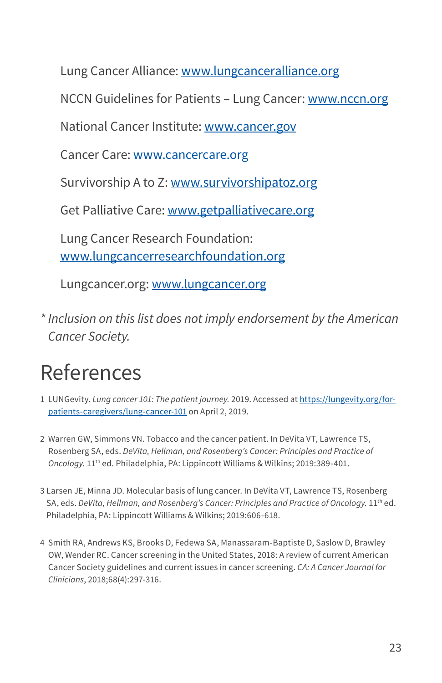Lung Cancer Alliance: [www.lungcanceralliance.org](http://www.lungcancer.org/)

NCCN Guidelines for Patients - Lung Cancer: [www.nccn.org](http://www.nccn.org)

National Cancer Institute: [www.cancer.gov](https://www.cancer.gov)

Cancer Care: [www.cancercare.org](http://www.cancercare.org)

Survivorship A to Z: [www.survivorshipatoz.org](http://www.survivorshipatoz.org)

Get Palliative Care: [www.getpalliativecare.org](http://www.getpalliativecare.org)

Lung Cancer Research Foundation: [www.lungcancerresearchfoundation.org](http://www.lungcancerresearchfoundation.org)

Lungcancer.org: [www.lungcancer.org](http://www.lungcancer.org)

*\* Inclusion on this list does not imply endorsement by the American Cancer Society.*

## References

- 1 LUNGevity. *Lung cancer 101: The patient journey.* 2019. Accessed at [https://lungevity.org/for](https://lungevity.org/for-patients-caregivers/lung-cancer-101)[patients-caregivers/lung-cancer-101](https://lungevity.org/for-patients-caregivers/lung-cancer-101) on April 2, 2019.
- 2 Warren GW, Simmons VN. Tobacco and the cancer patient. In DeVita VT, Lawrence TS, Rosenberg SA, eds. *DeVita, Hellman, and Rosenberg's Cancer: Principles and Practice of Oncology*. 11th ed. Philadelphia, PA: Lippincott Williams & Wilkins; 2019:389-401.
- 3 Larsen JE, Minna JD. Molecular basis of lung cancer. In DeVita VT, Lawrence TS, Rosenberg SA, eds. *DeVita, Hellman, and Rosenberg's Cancer: Principles and Practice of Oncology.* 11th ed. Philadelphia, PA: Lippincott Williams & Wilkins; 2019:606-618.
- 4 Smith RA, Andrews KS, Brooks D, Fedewa SA, Manassaram-Baptiste D, Saslow D, Brawley OW, Wender RC. Cancer screening in the United States, 2018: A review of current American Cancer Society guidelines and current issues in cancer screening. *CA: A Cancer Journal for Clinicians*, 2018;68(4):297-316.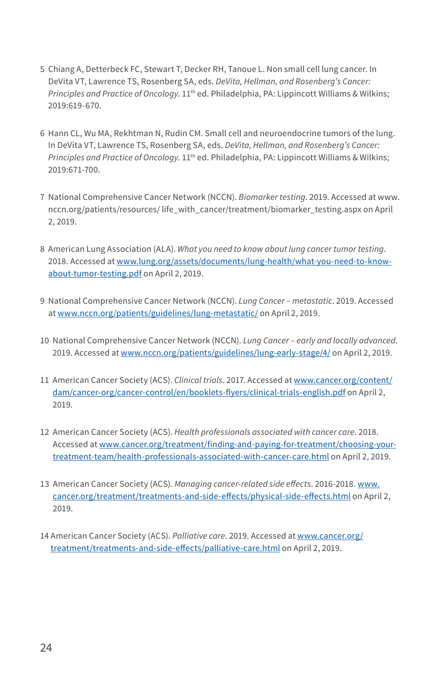- 5 Chiang A, Detterbeck FC, Stewart T, Decker RH, Tanoue L. Non small cell lung cancer. In DeVita VT, Lawrence TS, Rosenberg SA, eds. *DeVita, Hellman, and Rosenberg's Cancer: Principles and Practice of Oncology*. 11th ed. Philadelphia, PA: Lippincott Williams & Wilkins; 2019:619-670.
- 6 Hann CL, Wu MA, Rekhtman N, Rudin CM. Small cell and neuroendocrine tumors of the lung. In DeVita VT, Lawrence TS, Rosenberg SA, eds. *DeVita, Hellman, and Rosenberg's Cancer: Principles and Practice of Oncology*. 11th ed. Philadelphia, PA: Lippincott Williams & Wilkins; 2019:671-700.
- 7 National Comprehensive Cancer Network (NCCN). *Biomarker testing*. 2019. Accessed at www. nccn.org/patients/resources/ life\_with\_cancer/treatment/biomarker\_testing.aspx on April 2, 2019.
- 8 American Lung Association (ALA). *What you need to know about lung cancer tumor testing*. 2018. Accessed at [www.lung.org/assets/documents/lung-health/what-you-need-to-know](http://www.lung.org/assets/documents/lung-health/what-you-need-to-know-about-tumor-testing.pdf)[about-tumor-testing.pdf](http://www.lung.org/assets/documents/lung-health/what-you-need-to-know-about-tumor-testing.pdf) on April 2, 2019.
- 9 National Comprehensive Cancer Network (NCCN). *Lung Cancer metastatic*. 2019. Accessed at [www.nccn.org/patients/guidelines/lung-metastatic/](http://www.nccn.org/patients/guidelines/lung-metastatic/) on April 2, 2019.
- 10 National Comprehensive Cancer Network (NCCN). *Lung Cancer early and locally advanced*. 2019. Accessed at [www.nccn.org/patients/guidelines/lung-early-stage/4/](http://www.nccn.org/patients/guidelines/lung-early-stage/4/) on April 2, 2019.
- 11 American Cancer Society (ACS). *Clinical trials*. 2017. Accessed at [www.cancer.org/content/](http://www.cancer.org/content/dam/cancer-org/cancer-control/en/booklets-flyers/clinical-trials-english.pdf) [dam/cancer-org/cancer-control/en/booklets-flyers/clinical-trials-english.pdf](http://www.cancer.org/content/dam/cancer-org/cancer-control/en/booklets-flyers/clinical-trials-english.pdf) on April 2, 2019.
- 12 American Cancer Society (ACS). *Health professionals associated with cancer care*. 2018. Accessed at [www.cancer.org/treatment/finding-and-paying-for-treatment/choosing-your](http://www.cancer.org/treatment/finding-and-paying-for-treatment/choosing-your-treatment-team/health-professionals-associated-with-cancer-care.html)[treatment-team/health-professionals-associated-with-cancer-care.html](http://www.cancer.org/treatment/finding-and-paying-for-treatment/choosing-your-treatment-team/health-professionals-associated-with-cancer-care.html) on April 2, 2019.
- 13 American Cancer Society (ACS). Managing cancer-related side effects. 2016-2018. [www.](http://www.cancer.org/treatment/treatments-and-side-effects/physical-side-effects.html) [cancer.org/treatment/treatments-and-side-effects/physical-side-effects.html](http://www.cancer.org/treatment/treatments-and-side-effects/physical-side-effects.html) on April 2, 2019.
- 14 American Cancer Society (ACS). *Palliative care*. 2019. Accessed at [www.cancer.org/](http://www.cancer.org/treatment/treatments-and-side-effects/palliative-care.html) [treatment/treatments-and-side-effects/palliative-care.html](http://www.cancer.org/treatment/treatments-and-side-effects/palliative-care.html) on April 2, 2019.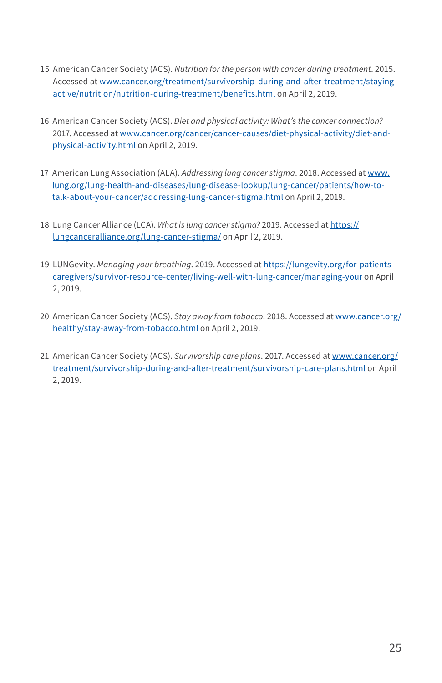- 15 American Cancer Society (ACS). *Nutrition for the person with cancer during treatment*. 2015. Accessed at [www.cancer.org/treatment/survivorship-during-and-after-treatment/staying](http://www.cancer.org/treatment/survivorship-during-and-after-treatment/staying-active/nutrition/nutrition-during-treatment/benefits.html)[active/nutrition/nutrition-during-treatment/benefits.html](http://www.cancer.org/treatment/survivorship-during-and-after-treatment/staying-active/nutrition/nutrition-during-treatment/benefits.html) on April 2, 2019.
- 16 American Cancer Society (ACS). *Diet and physical activity: What's the cancer connection?* 2017. Accessed at [www.cancer.org/cancer/cancer-causes/diet-physical-activity/diet-and](http://www.cancer.org/cancer/cancer-causes/diet-physical-activity/diet-and-physical-activity.html)[physical-activity.html](http://www.cancer.org/cancer/cancer-causes/diet-physical-activity/diet-and-physical-activity.html) on April 2, 2019.
- 17 American Lung Association (ALA). *Addressing lung cancer stigma*. 2018. Accessed at [www.](http://www.lung.org/lung-health-and-diseases/lung-disease-lookup/lung-cancer/patients/how-to-talk-about-your-cancer/addressing-lung-cancer-stigma.html) [lung.org/lung-health-and-diseases/lung-disease-lookup/lung-cancer/patients/how-to](http://www.lung.org/lung-health-and-diseases/lung-disease-lookup/lung-cancer/patients/how-to-talk-about-your-cancer/addressing-lung-cancer-stigma.html)[talk-about-your-cancer/addressing-lung-cancer-stigma.html](http://www.lung.org/lung-health-and-diseases/lung-disease-lookup/lung-cancer/patients/how-to-talk-about-your-cancer/addressing-lung-cancer-stigma.html) on April 2, 2019.
- 18 Lung Cancer Alliance (LCA). *What is lung cancer stigma?* 2019. Accessed at [https://](https://lungcanceralliance.org/lung-cancer-stigma/) [lungcanceralliance.org/lung-cancer-stigma/](https://lungcanceralliance.org/lung-cancer-stigma/) on April 2, 2019.
- 19 LUNGevity. *Managing your breathing*. 2019. Accessed at [https://lungevity.org/for-patients](https://lungevity.org/for-patients-caregivers/survivor-resource-center/living-well-with-lung-cancer/managing-your)[caregivers/survivor-resource-center/living-well-with-lung-cancer/managing-your](https://lungevity.org/for-patients-caregivers/survivor-resource-center/living-well-with-lung-cancer/managing-your) on April 2, 2019.
- 20 American Cancer Society (ACS). *Stay away from tobacco*. 2018. Accessed at [www.cancer.org/](http://www.cancer.org/healthy/stay-away-from-tobacco.html) [healthy/stay-away-from-tobacco.html](http://www.cancer.org/healthy/stay-away-from-tobacco.html) on April 2, 2019.
- 21 American Cancer Society (ACS). *Survivorship care plans*. 2017. Accessed at [www.cancer.org/](http://www.cancer.org/treatment/survivorship-during-and-after-treatment/survivorship-care-plans.html) [treatment/survivorship-during-and-after-treatment/survivorship-care-plans.html](http://www.cancer.org/treatment/survivorship-during-and-after-treatment/survivorship-care-plans.html) on April 2, 2019.